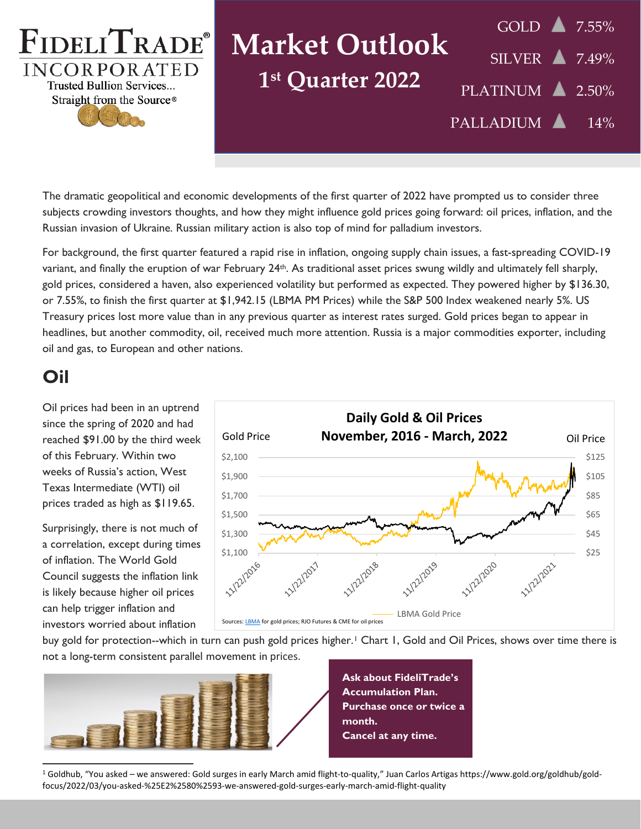

Straight from the Source®

# **Market Outlook 1st Quarter 2022**

GOLD **7.55%**  $SILVER$  7.49% PLATINUM 2.50% PALLADIUM 14%

The dramatic geopolitical and economic developments of the first quarter of 2022 have prompted us to consider three subjects crowding investors thoughts, and how they might influence gold prices going forward: oil prices, inflation, and the Russian invasion of Ukraine. Russian military action is also top of mind for palladium investors.

For background, the first quarter featured a rapid rise in inflation, ongoing supply chain issues, a fast-spreading COVID-19 variant, and finally the eruption of war February 24th. As traditional asset prices swung wildly and ultimately fell sharply, gold prices, considered a haven, also experienced volatility but performed as expected. They powered higher by \$136.30, or 7.55%, to finish the first quarter at \$1,942.15 (LBMA PM Prices) while the S&P 500 Index weakened nearly 5%. US Treasury prices lost more value than in any previous quarter as interest rates surged. Gold prices began to appear in headlines, but another commodity, oil, received much more attention. Russia is a major commodities exporter, including oil and gas, to European and other nations.

#### **Oil**

Oil prices had been in an uptrend since the spring of 2020 and had reached \$91.00 by the third week of this February. Within two weeks of Russia's action, West Texas Intermediate (WTI) oil prices traded as high as \$119.65.

Surprisingly, there is not much of a correlation, except during times of inflation. The World Gold Council suggests the inflation link is likely because higher oil prices can help trigger inflation and investors worried about inflation



buy gold for protection--which in turn can push gold prices higher.[1](#page-0-0) Chart 1, Gold and Oil Prices, shows over time there is not a long-term consistent parallel movement in prices.



**Ask about FideliTrade's Accumulation Plan. Purchase once or twice a month. Cancel at any time.**

<span id="page-0-0"></span><sup>1</sup> Goldhub, "You asked – we answered: Gold surges in early March amid flight-to-quality," Juan Carlos Artigas https://www.gold.org/goldhub/goldfocus/2022/03/you-asked-%25E2%2580%2593-we-answered-gold-surges-early-march-amid-flight-quality